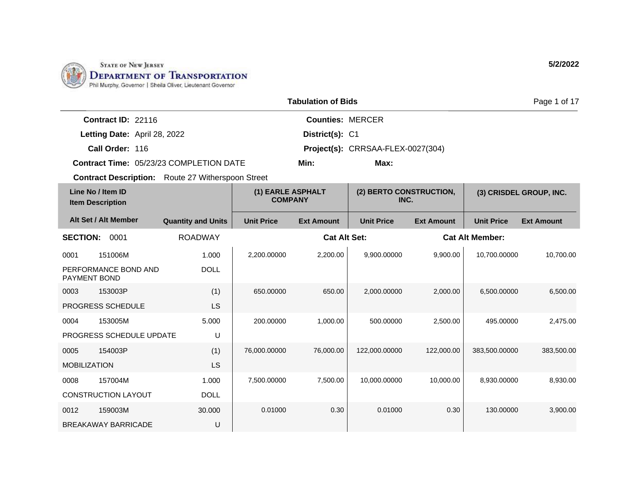

|                                                          |                              |                                         |                   | <b>Tabulation of Bids</b>       |                                   | Page 1 of 17            |                        |                   |
|----------------------------------------------------------|------------------------------|-----------------------------------------|-------------------|---------------------------------|-----------------------------------|-------------------------|------------------------|-------------------|
|                                                          | Contract ID: 22116           |                                         |                   | <b>Counties: MERCER</b>         |                                   |                         |                        |                   |
|                                                          | Letting Date: April 28, 2022 |                                         |                   | District(s): C1                 |                                   |                         |                        |                   |
|                                                          | Call Order: 116              |                                         |                   |                                 | Project(s): CRRSAA-FLEX-0027(304) |                         |                        |                   |
|                                                          |                              | Contract Time: 05/23/23 COMPLETION DATE | Min:              |                                 | Max:                              |                         |                        |                   |
| <b>Contract Description:</b> Route 27 Witherspoon Street |                              |                                         |                   |                                 |                                   |                         |                        |                   |
| Line No / Item ID<br><b>Item Description</b>             |                              | (1) EARLE ASPHALT<br><b>COMPANY</b>     |                   | (2) BERTO CONSTRUCTION,<br>INC. |                                   | (3) CRISDEL GROUP, INC. |                        |                   |
| Alt Set / Alt Member                                     |                              | <b>Quantity and Units</b>               | <b>Unit Price</b> | <b>Ext Amount</b>               | <b>Unit Price</b>                 | <b>Ext Amount</b>       | <b>Unit Price</b>      | <b>Ext Amount</b> |
| <b>SECTION:</b>                                          | 0001                         | <b>ROADWAY</b>                          |                   | <b>Cat Alt Set:</b>             |                                   |                         | <b>Cat Alt Member:</b> |                   |
| 0001                                                     | 151006M                      | 1.000                                   | 2,200.00000       | 2,200.00                        | 9,900.00000                       | 9,900.00                | 10,700.00000           | 10,700.00         |
| PAYMENT BOND                                             | PERFORMANCE BOND AND         | <b>DOLL</b>                             |                   |                                 |                                   |                         |                        |                   |
| 0003                                                     | 153003P                      | (1)                                     | 650.00000         | 650.00                          | 2,000.00000                       | 2,000.00                | 6,500.00000            | 6,500.00          |
| PROGRESS SCHEDULE                                        |                              | <b>LS</b>                               |                   |                                 |                                   |                         |                        |                   |
| 0004                                                     | 153005M                      | 5.000                                   | 200.00000         | 1,000.00                        | 500.00000                         | 2,500.00                | 495.00000              | 2,475.00          |
|                                                          | PROGRESS SCHEDULE UPDATE     | U                                       |                   |                                 |                                   |                         |                        |                   |
| 0005                                                     | 154003P                      | (1)                                     | 76,000.00000      | 76,000.00                       | 122,000.00000                     | 122,000.00              | 383,500.00000          | 383,500.00        |
| <b>MOBILIZATION</b>                                      |                              | LS                                      |                   |                                 |                                   |                         |                        |                   |
| 0008                                                     | 157004M                      | 1.000                                   | 7,500.00000       | 7.500.00                        | 10,000.00000                      | 10.000.00               | 8.930.00000            | 8,930.00          |
| <b>CONSTRUCTION LAYOUT</b>                               |                              | <b>DOLL</b>                             |                   |                                 |                                   |                         |                        |                   |
| 0012                                                     | 159003M                      | 30.000                                  | 0.01000           | 0.30                            | 0.01000                           | 0.30                    | 130.00000              | 3,900.00          |
|                                                          | <b>BREAKAWAY BARRICADE</b>   | U                                       |                   |                                 |                                   |                         |                        |                   |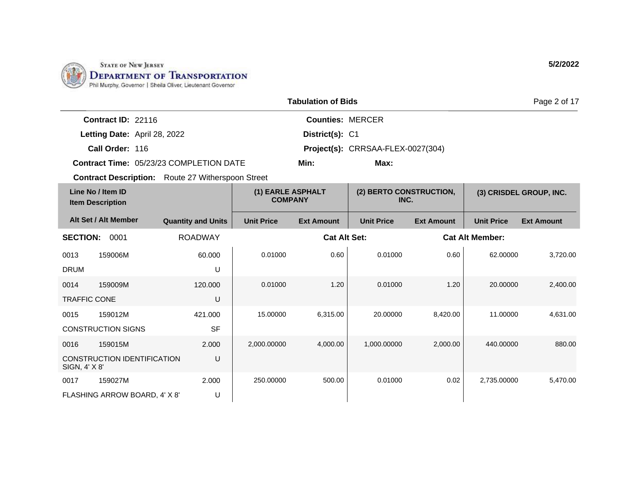

|                     | <b>Tabulation of Bids</b>                    |                                                          |                                     |                                   |                                 |                   |                        | Page 2 of 17            |
|---------------------|----------------------------------------------|----------------------------------------------------------|-------------------------------------|-----------------------------------|---------------------------------|-------------------|------------------------|-------------------------|
|                     | Contract ID: 22116                           |                                                          |                                     | <b>Counties: MERCER</b>           |                                 |                   |                        |                         |
|                     | Letting Date: April 28, 2022                 |                                                          |                                     | District(s): C1                   |                                 |                   |                        |                         |
|                     | Call Order: 116                              |                                                          |                                     | Project(s): CRRSAA-FLEX-0027(304) |                                 |                   |                        |                         |
|                     |                                              | <b>Contract Time: 05/23/23 COMPLETION DATE</b>           |                                     | Min:                              |                                 |                   |                        |                         |
|                     |                                              | <b>Contract Description:</b> Route 27 Witherspoon Street |                                     |                                   |                                 |                   |                        |                         |
|                     | Line No / Item ID<br><b>Item Description</b> |                                                          | (1) EARLE ASPHALT<br><b>COMPANY</b> |                                   | (2) BERTO CONSTRUCTION,<br>INC. |                   |                        | (3) CRISDEL GROUP, INC. |
|                     | Alt Set / Alt Member                         | <b>Quantity and Units</b>                                | <b>Unit Price</b>                   | <b>Ext Amount</b>                 | <b>Unit Price</b>               | <b>Ext Amount</b> | <b>Unit Price</b>      | <b>Ext Amount</b>       |
| <b>SECTION:</b>     | 0001                                         | <b>ROADWAY</b>                                           |                                     | <b>Cat Alt Set:</b>               |                                 |                   | <b>Cat Alt Member:</b> |                         |
| 0013                | 159006M                                      | 60.000                                                   | 0.01000                             | 0.60                              | 0.01000                         | 0.60              | 62.00000               | 3,720.00                |
| <b>DRUM</b>         |                                              | U                                                        |                                     |                                   |                                 |                   |                        |                         |
| 0014                | 159009M                                      | 120.000                                                  | 0.01000                             | 1.20                              | 0.01000                         | 1.20              | 20.00000               | 2,400.00                |
| <b>TRAFFIC CONE</b> |                                              | U                                                        |                                     |                                   |                                 |                   |                        |                         |
| 0015                | 159012M                                      | 421.000                                                  | 15.00000                            | 6,315.00                          | 20.00000                        | 8,420.00          | 11.00000               | 4,631.00                |
|                     | <b>CONSTRUCTION SIGNS</b>                    | <b>SF</b>                                                |                                     |                                   |                                 |                   |                        |                         |
| 0016                | 159015M                                      | 2.000                                                    | 2,000.00000                         | 4,000.00                          | 1,000.00000                     | 2,000.00          | 440.00000              | 880.00                  |
| SIGN, 4' X 8'       | CONSTRUCTION IDENTIFICATION                  | U                                                        |                                     |                                   |                                 |                   |                        |                         |
| 0017                | 159027M                                      | 2.000                                                    | 250.00000                           | 500.00                            | 0.01000                         | 0.02              | 2,735.00000            | 5,470.00                |
|                     | FLASHING ARROW BOARD, 4' X 8'                | U                                                        |                                     |                                   |                                 |                   |                        |                         |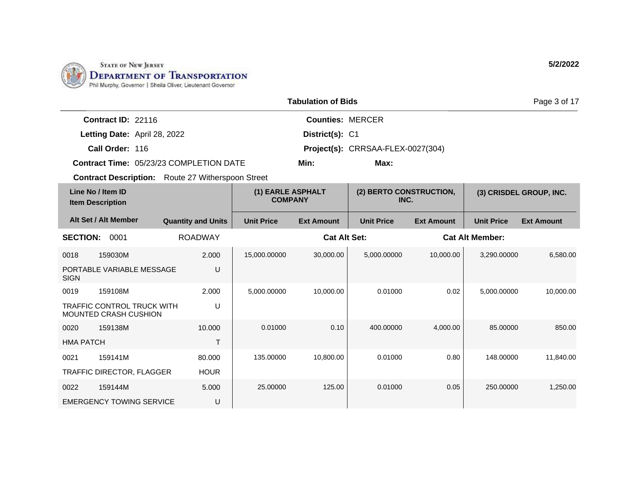

|                                                            |                           |                                     | <b>Tabulation of Bids</b> |                                   |                   |                        | Page 3 of 17            |
|------------------------------------------------------------|---------------------------|-------------------------------------|---------------------------|-----------------------------------|-------------------|------------------------|-------------------------|
| Contract ID: 22116                                         |                           |                                     | <b>Counties: MERCER</b>   |                                   |                   |                        |                         |
| Letting Date: April 28, 2022                               |                           |                                     | District(s): C1           |                                   |                   |                        |                         |
| Call Order: 116                                            |                           |                                     |                           | Project(s): CRRSAA-FLEX-0027(304) |                   |                        |                         |
| Contract Time: 05/23/23 COMPLETION DATE                    |                           |                                     | Min:                      | Max:                              |                   |                        |                         |
| <b>Contract Description:</b> Route 27 Witherspoon Street   |                           |                                     |                           |                                   |                   |                        |                         |
| Line No / Item ID<br><b>Item Description</b>               |                           | (1) EARLE ASPHALT<br><b>COMPANY</b> |                           | (2) BERTO CONSTRUCTION,<br>INC.   |                   |                        | (3) CRISDEL GROUP, INC. |
| Alt Set / Alt Member                                       | <b>Quantity and Units</b> | <b>Unit Price</b>                   | <b>Ext Amount</b>         | <b>Unit Price</b>                 | <b>Ext Amount</b> | <b>Unit Price</b>      | <b>Ext Amount</b>       |
| <b>SECTION:</b><br>0001                                    | <b>ROADWAY</b>            |                                     | <b>Cat Alt Set:</b>       |                                   |                   | <b>Cat Alt Member:</b> |                         |
| 159030M<br>0018                                            | 2.000                     | 15,000.00000                        | 30,000.00                 | 5,000.00000                       | 10,000.00         | 3,290.00000            | 6.580.00                |
| PORTABLE VARIABLE MESSAGE<br><b>SIGN</b>                   | U                         |                                     |                           |                                   |                   |                        |                         |
| 159108M<br>0019                                            | 2.000                     | 5,000.00000                         | 10,000.00                 | 0.01000                           | 0.02              | 5,000.00000            | 10,000.00               |
| <b>TRAFFIC CONTROL TRUCK WITH</b><br>MOUNTED CRASH CUSHION | U                         |                                     |                           |                                   |                   |                        |                         |
| 159138M<br>0020                                            | 10.000                    | 0.01000                             | 0.10                      | 400.00000                         | 4.000.00          | 85.00000               | 850.00                  |
| <b>HMA PATCH</b>                                           | T                         |                                     |                           |                                   |                   |                        |                         |
| 159141M<br>0021                                            | 80.000                    | 135.00000                           | 10,800.00                 | 0.01000                           | 0.80              | 148.00000              | 11,840.00               |
| TRAFFIC DIRECTOR, FLAGGER                                  | <b>HOUR</b>               |                                     |                           |                                   |                   |                        |                         |
| 0022<br>159144M                                            | 5.000                     | 25.00000                            | 125.00                    | 0.01000                           | 0.05              | 250.00000              | 1,250.00                |
| <b>EMERGENCY TOWING SERVICE</b>                            | U                         |                                     |                           |                                   |                   |                        |                         |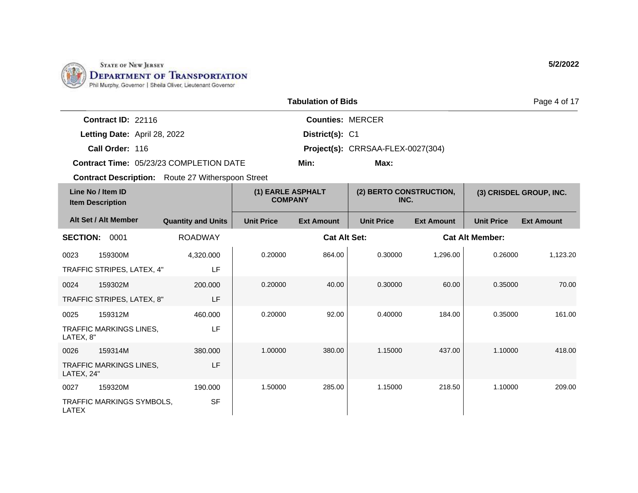

| <b>Tabulation of Bids</b> |                                              |                                                          |                                     |                         |                                   |                   |                        | Page 4 of 17            |
|---------------------------|----------------------------------------------|----------------------------------------------------------|-------------------------------------|-------------------------|-----------------------------------|-------------------|------------------------|-------------------------|
|                           | Contract ID: 22116                           |                                                          |                                     | <b>Counties: MERCER</b> |                                   |                   |                        |                         |
|                           | Letting Date: April 28, 2022                 |                                                          |                                     | District(s): C1         |                                   |                   |                        |                         |
|                           | Call Order: 116                              |                                                          |                                     |                         | Project(s): CRRSAA-FLEX-0027(304) |                   |                        |                         |
|                           |                                              | <b>Contract Time: 05/23/23 COMPLETION DATE</b>           | Min:<br>Max:                        |                         |                                   |                   |                        |                         |
|                           |                                              | <b>Contract Description:</b> Route 27 Witherspoon Street |                                     |                         |                                   |                   |                        |                         |
|                           | Line No / Item ID<br><b>Item Description</b> |                                                          | (1) EARLE ASPHALT<br><b>COMPANY</b> |                         | (2) BERTO CONSTRUCTION,<br>INC.   |                   |                        | (3) CRISDEL GROUP, INC. |
|                           | Alt Set / Alt Member                         | <b>Quantity and Units</b>                                | <b>Unit Price</b>                   | <b>Ext Amount</b>       | <b>Unit Price</b>                 | <b>Ext Amount</b> | <b>Unit Price</b>      | <b>Ext Amount</b>       |
| <b>SECTION:</b>           | 0001                                         | <b>ROADWAY</b>                                           |                                     | <b>Cat Alt Set:</b>     |                                   |                   | <b>Cat Alt Member:</b> |                         |
| 0023                      | 159300M                                      | 4,320.000                                                | 0.20000                             | 864.00                  | 0.30000                           | 1,296.00          | 0.26000                | 1,123.20                |
|                           | TRAFFIC STRIPES, LATEX, 4"                   | LF                                                       |                                     |                         |                                   |                   |                        |                         |
| 0024                      | 159302M                                      | 200.000                                                  | 0.20000                             | 40.00                   | 0.30000                           | 60.00             | 0.35000                | 70.00                   |
|                           | TRAFFIC STRIPES, LATEX, 8"                   | LF                                                       |                                     |                         |                                   |                   |                        |                         |
| 0025                      | 159312M                                      | 460.000                                                  | 0.20000                             | 92.00                   | 0.40000                           | 184.00            | 0.35000                | 161.00                  |
| LATEX, 8"                 | <b>TRAFFIC MARKINGS LINES,</b>               | LF                                                       |                                     |                         |                                   |                   |                        |                         |
| 0026                      | 159314M                                      | 380.000                                                  | 1.00000                             | 380.00                  | 1.15000                           | 437.00            | 1.10000                | 418.00                  |
| LATEX, 24"                | <b>TRAFFIC MARKINGS LINES,</b>               | LF                                                       |                                     |                         |                                   |                   |                        |                         |
| 0027                      | 159320M                                      | 190.000                                                  | 1.50000                             | 285.00                  | 1.15000                           | 218.50            | 1.10000                | 209.00                  |
| <b>LATEX</b>              | TRAFFIC MARKINGS SYMBOLS,                    | <b>SF</b>                                                |                                     |                         |                                   |                   |                        |                         |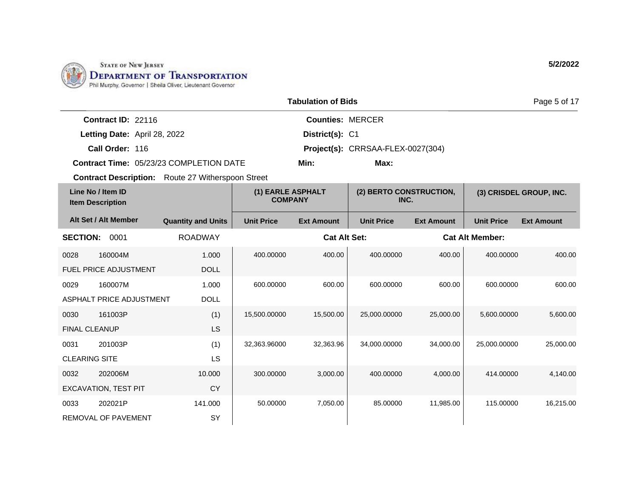

|                                              |                              |                                                          | <b>Tabulation of Bids</b>           |                                   |                                 | Page 5 of 17      |                        |                         |
|----------------------------------------------|------------------------------|----------------------------------------------------------|-------------------------------------|-----------------------------------|---------------------------------|-------------------|------------------------|-------------------------|
|                                              | Contract ID: 22116           |                                                          |                                     | <b>Counties: MERCER</b>           |                                 |                   |                        |                         |
|                                              | Letting Date: April 28, 2022 |                                                          |                                     | District(s): C1                   |                                 |                   |                        |                         |
|                                              | Call Order: 116              |                                                          |                                     | Project(s): CRRSAA-FLEX-0027(304) |                                 |                   |                        |                         |
|                                              |                              | <b>Contract Time: 05/23/23 COMPLETION DATE</b>           | Min:<br>Max:                        |                                   |                                 |                   |                        |                         |
|                                              |                              | <b>Contract Description:</b> Route 27 Witherspoon Street |                                     |                                   |                                 |                   |                        |                         |
| Line No / Item ID<br><b>Item Description</b> |                              |                                                          | (1) EARLE ASPHALT<br><b>COMPANY</b> |                                   | (2) BERTO CONSTRUCTION,<br>INC. |                   |                        | (3) CRISDEL GROUP, INC. |
|                                              | Alt Set / Alt Member         | <b>Quantity and Units</b>                                | <b>Unit Price</b>                   | <b>Ext Amount</b>                 | <b>Unit Price</b>               | <b>Ext Amount</b> | <b>Unit Price</b>      | <b>Ext Amount</b>       |
| <b>SECTION:</b>                              | 0001                         | <b>ROADWAY</b>                                           |                                     | <b>Cat Alt Set:</b>               |                                 |                   | <b>Cat Alt Member:</b> |                         |
| 0028                                         | 160004M                      | 1.000                                                    | 400.00000                           | 400.00                            | 400.00000                       | 400.00            | 400.00000              | 400.00                  |
|                                              | FUEL PRICE ADJUSTMENT        | <b>DOLL</b>                                              |                                     |                                   |                                 |                   |                        |                         |
| 0029                                         | 160007M                      | 1.000                                                    | 600.00000                           | 600.00                            | 600.00000                       | 600.00            | 600.00000              | 600.00                  |
|                                              | ASPHALT PRICE ADJUSTMENT     | <b>DOLL</b>                                              |                                     |                                   |                                 |                   |                        |                         |
| 0030                                         | 161003P                      | (1)                                                      | 15,500.00000                        | 15,500.00                         | 25,000.00000                    | 25,000.00         | 5,600.00000            | 5,600.00                |
| <b>FINAL CLEANUP</b>                         |                              | LS                                                       |                                     |                                   |                                 |                   |                        |                         |
| 0031                                         | 201003P                      | (1)                                                      | 32,363.96000                        | 32,363.96                         | 34,000.00000                    | 34,000.00         | 25,000.00000           | 25,000.00               |
| <b>CLEARING SITE</b>                         |                              | <b>LS</b>                                                |                                     |                                   |                                 |                   |                        |                         |
| 0032                                         | 202006M                      | 10.000                                                   | 300.00000                           | 3,000.00                          | 400.00000                       | 4,000.00          | 414.00000              | 4,140.00                |
|                                              | <b>EXCAVATION, TEST PIT</b>  | <b>CY</b>                                                |                                     |                                   |                                 |                   |                        |                         |
| 0033                                         | 202021P                      | 141.000                                                  | 50.00000                            | 7,050.00                          | 85.00000                        | 11,985.00         | 115.00000              | 16,215.00               |
|                                              | <b>REMOVAL OF PAVEMENT</b>   | SY                                                       |                                     |                                   |                                 |                   |                        |                         |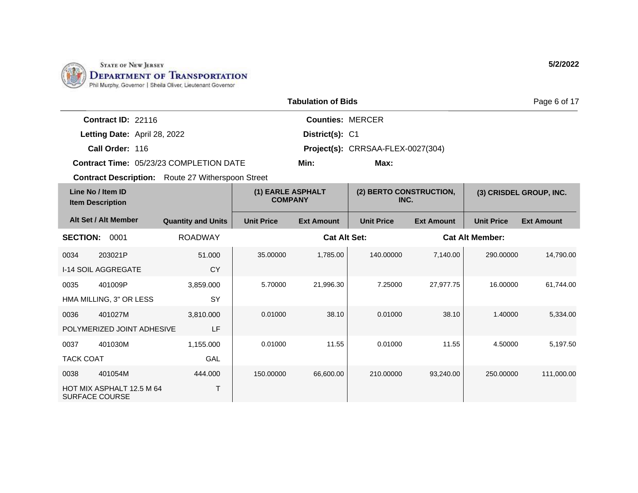

| <b>Tabulation of Bids</b> |                                                    |                                                          |                                     |                                   |                                 |                   |                        | Page 6 of 17            |
|---------------------------|----------------------------------------------------|----------------------------------------------------------|-------------------------------------|-----------------------------------|---------------------------------|-------------------|------------------------|-------------------------|
|                           | Contract ID: 22116                                 |                                                          |                                     | <b>Counties: MERCER</b>           |                                 |                   |                        |                         |
|                           | Letting Date: April 28, 2022                       |                                                          |                                     | District(s): C1                   |                                 |                   |                        |                         |
|                           | Call Order: 116                                    |                                                          |                                     | Project(s): CRRSAA-FLEX-0027(304) |                                 |                   |                        |                         |
|                           |                                                    | <b>Contract Time: 05/23/23 COMPLETION DATE</b>           | Min:<br>Max:                        |                                   |                                 |                   |                        |                         |
|                           |                                                    | <b>Contract Description:</b> Route 27 Witherspoon Street |                                     |                                   |                                 |                   |                        |                         |
|                           | Line No / Item ID<br><b>Item Description</b>       |                                                          | (1) EARLE ASPHALT<br><b>COMPANY</b> |                                   | (2) BERTO CONSTRUCTION,<br>INC. |                   |                        | (3) CRISDEL GROUP, INC. |
|                           | Alt Set / Alt Member                               | <b>Quantity and Units</b>                                | <b>Unit Price</b>                   | <b>Ext Amount</b>                 | <b>Unit Price</b>               | <b>Ext Amount</b> | <b>Unit Price</b>      | <b>Ext Amount</b>       |
| <b>SECTION:</b>           | 0001                                               | <b>ROADWAY</b>                                           |                                     | <b>Cat Alt Set:</b>               |                                 |                   | <b>Cat Alt Member:</b> |                         |
| 0034                      | 203021P                                            | 51.000                                                   | 35.00000                            | 1,785.00                          | 140.00000                       | 7,140.00          | 290.00000              | 14,790.00               |
|                           | I-14 SOIL AGGREGATE                                | <b>CY</b>                                                |                                     |                                   |                                 |                   |                        |                         |
| 0035                      | 401009P                                            | 3,859.000                                                | 5.70000                             | 21,996.30                         | 7.25000                         | 27,977.75         | 16.00000               | 61,744.00               |
|                           | HMA MILLING, 3" OR LESS                            | SY                                                       |                                     |                                   |                                 |                   |                        |                         |
| 0036                      | 401027M                                            | 3,810.000                                                | 0.01000                             | 38.10                             | 0.01000                         | 38.10             | 1.40000                | 5,334.00                |
|                           | POLYMERIZED JOINT ADHESIVE                         | LF                                                       |                                     |                                   |                                 |                   |                        |                         |
| 0037                      | 401030M                                            | 1,155.000                                                | 0.01000                             | 11.55                             | 0.01000                         | 11.55             | 4.50000                | 5,197.50                |
| <b>TACK COAT</b>          |                                                    | GAL                                                      |                                     |                                   |                                 |                   |                        |                         |
| 0038                      | 401054M                                            | 444.000                                                  | 150.00000                           | 66,600.00                         | 210.00000                       | 93,240.00         | 250.00000              | 111,000.00              |
|                           | HOT MIX ASPHALT 12.5 M 64<br><b>SURFACE COURSE</b> | Τ                                                        |                                     |                                   |                                 |                   |                        |                         |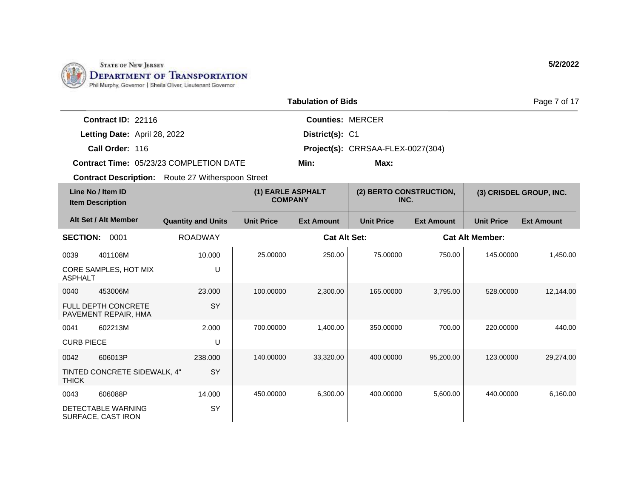

| <b>Tabulation of Bids</b> |                                              |                                                          |                                     |                         |                                   |                   | Page 7 of 17           |                         |
|---------------------------|----------------------------------------------|----------------------------------------------------------|-------------------------------------|-------------------------|-----------------------------------|-------------------|------------------------|-------------------------|
|                           | Contract ID: 22116                           |                                                          |                                     | <b>Counties: MERCER</b> |                                   |                   |                        |                         |
|                           | Letting Date: April 28, 2022                 |                                                          |                                     | District(s): C1         |                                   |                   |                        |                         |
|                           | Call Order: 116                              |                                                          |                                     |                         | Project(s): CRRSAA-FLEX-0027(304) |                   |                        |                         |
|                           |                                              | <b>Contract Time: 05/23/23 COMPLETION DATE</b>           |                                     | Min:                    | Max:                              |                   |                        |                         |
|                           |                                              | <b>Contract Description:</b> Route 27 Witherspoon Street |                                     |                         |                                   |                   |                        |                         |
|                           | Line No / Item ID<br><b>Item Description</b> |                                                          | (1) EARLE ASPHALT<br><b>COMPANY</b> |                         | (2) BERTO CONSTRUCTION,<br>INC.   |                   |                        | (3) CRISDEL GROUP, INC. |
|                           | Alt Set / Alt Member                         | <b>Quantity and Units</b>                                | <b>Unit Price</b>                   | <b>Ext Amount</b>       | <b>Unit Price</b>                 | <b>Ext Amount</b> | <b>Unit Price</b>      | <b>Ext Amount</b>       |
| <b>SECTION:</b>           | 0001                                         | <b>ROADWAY</b>                                           |                                     | <b>Cat Alt Set:</b>     |                                   |                   | <b>Cat Alt Member:</b> |                         |
| 0039                      | 401108M                                      | 10.000                                                   | 25.00000                            | 250.00                  | 75.00000                          | 750.00            | 145.00000              | 1,450.00                |
| <b>ASPHALT</b>            | CORE SAMPLES, HOT MIX                        | U                                                        |                                     |                         |                                   |                   |                        |                         |
| 0040                      | 453006M                                      | 23,000                                                   | 100.00000                           | 2,300.00                | 165,00000                         | 3,795.00          | 528.00000              | 12,144.00               |
|                           | FULL DEPTH CONCRETE<br>PAVEMENT REPAIR, HMA  | SY                                                       |                                     |                         |                                   |                   |                        |                         |
| 0041                      | 602213M                                      | 2.000                                                    | 700.00000                           | 1,400.00                | 350.00000                         | 700.00            | 220.00000              | 440.00                  |
| <b>CURB PIECE</b>         |                                              | U                                                        |                                     |                         |                                   |                   |                        |                         |
| 0042                      | 606013P                                      | 238,000                                                  | 140.00000                           | 33,320.00               | 400.00000                         | 95,200.00         | 123.00000              | 29,274.00               |
| <b>THICK</b>              | TINTED CONCRETE SIDEWALK, 4"                 | SY                                                       |                                     |                         |                                   |                   |                        |                         |
| 0043                      | 606088P                                      | 14.000                                                   | 450.00000                           | 6,300.00                | 400.00000                         | 5,600.00          | 440.00000              | 6,160.00                |
|                           | DETECTABLE WARNING<br>SURFACE, CAST IRON     | SY                                                       |                                     |                         |                                   |                   |                        |                         |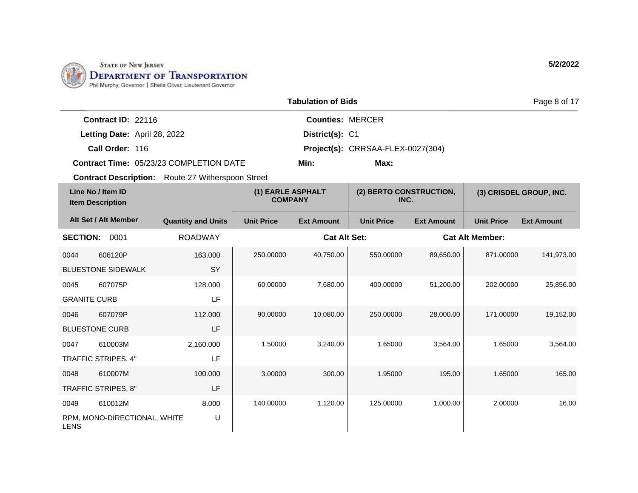

|                     | <b>Tabulation of Bids</b><br>Page 8 of 17    |                                                          |                                     |                         |                                   |                   |                        |                         |  |
|---------------------|----------------------------------------------|----------------------------------------------------------|-------------------------------------|-------------------------|-----------------------------------|-------------------|------------------------|-------------------------|--|
|                     | Contract ID: 22116                           |                                                          |                                     | <b>Counties: MERCER</b> |                                   |                   |                        |                         |  |
|                     | Letting Date: April 28, 2022                 |                                                          |                                     | District(s): C1         |                                   |                   |                        |                         |  |
|                     | Call Order: 116                              |                                                          |                                     |                         | Project(s): CRRSAA-FLEX-0027(304) |                   |                        |                         |  |
|                     |                                              | <b>Contract Time: 05/23/23 COMPLETION DATE</b>           | Min:                                |                         | Max:                              |                   |                        |                         |  |
|                     |                                              | <b>Contract Description:</b> Route 27 Witherspoon Street |                                     |                         |                                   |                   |                        |                         |  |
|                     | Line No / Item ID<br><b>Item Description</b> |                                                          | (1) EARLE ASPHALT<br><b>COMPANY</b> |                         | (2) BERTO CONSTRUCTION,<br>INC.   |                   |                        | (3) CRISDEL GROUP, INC. |  |
|                     | Alt Set / Alt Member                         | <b>Quantity and Units</b>                                | <b>Unit Price</b>                   | <b>Ext Amount</b>       | <b>Unit Price</b>                 | <b>Ext Amount</b> | <b>Unit Price</b>      | <b>Ext Amount</b>       |  |
|                     | <b>SECTION: 0001</b>                         | <b>ROADWAY</b>                                           |                                     | <b>Cat Alt Set:</b>     |                                   |                   | <b>Cat Alt Member:</b> |                         |  |
| 0044                | 606120P                                      | 163.000                                                  | 250.00000                           | 40,750.00               | 550.00000                         | 89,650.00         | 871.00000              | 141,973.00              |  |
|                     | <b>BLUESTONE SIDEWALK</b>                    | SY                                                       |                                     |                         |                                   |                   |                        |                         |  |
| 0045                | 607075P                                      | 128.000                                                  | 60.00000                            | 7,680.00                | 400.00000                         | 51,200.00         | 202.00000              | 25,856.00               |  |
| <b>GRANITE CURB</b> |                                              | LF                                                       |                                     |                         |                                   |                   |                        |                         |  |
| 0046                | 607079P                                      | 112.000                                                  | 90.00000                            | 10,080.00               | 250.00000                         | 28,000.00         | 171.00000              | 19,152.00               |  |
|                     | <b>BLUESTONE CURB</b>                        | LF                                                       |                                     |                         |                                   |                   |                        |                         |  |
| 0047                | 610003M                                      | 2,160.000                                                | 1.50000                             | 3,240.00                | 1.65000                           | 3,564.00          | 1.65000                | 3,564.00                |  |
|                     | TRAFFIC STRIPES, 4"                          | LF                                                       |                                     |                         |                                   |                   |                        |                         |  |
| 0048                | 610007M                                      | 100.000                                                  | 3.00000                             | 300.00                  | 1.95000                           | 195.00            | 1.65000                | 165.00                  |  |
|                     | TRAFFIC STRIPES, 8"                          | LF                                                       |                                     |                         |                                   |                   |                        |                         |  |
| 0049                | 610012M                                      | 8.000                                                    | 140.00000                           | 1,120.00                | 125.00000                         | 1,000.00          | 2.00000                | 16.00                   |  |
| <b>LENS</b>         | RPM, MONO-DIRECTIONAL, WHITE                 | U                                                        |                                     |                         |                                   |                   |                        |                         |  |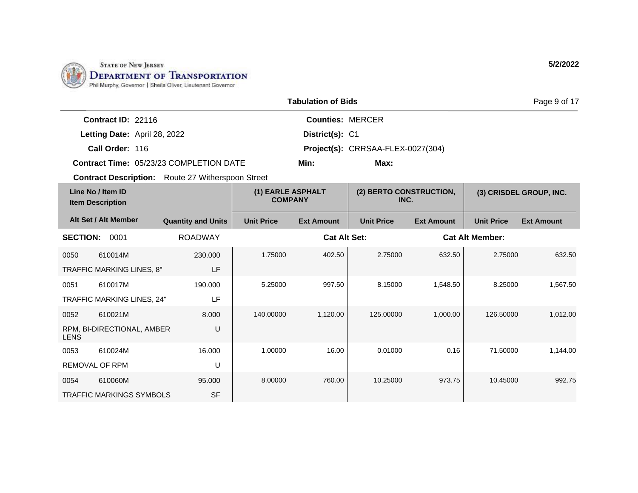

| <b>Tabulation of Bids</b> |                                              |                                                          |                                     |                         |                                 |                   |                        | Page 9 of 17            |
|---------------------------|----------------------------------------------|----------------------------------------------------------|-------------------------------------|-------------------------|---------------------------------|-------------------|------------------------|-------------------------|
|                           | Contract ID: 22116                           |                                                          |                                     | <b>Counties: MERCER</b> |                                 |                   |                        |                         |
|                           | Letting Date: April 28, 2022                 |                                                          |                                     | District(s): C1         |                                 |                   |                        |                         |
|                           | Call Order: 116                              |                                                          | Project(s): CRRSAA-FLEX-0027(304)   |                         |                                 |                   |                        |                         |
|                           |                                              | Contract Time: 05/23/23 COMPLETION DATE                  |                                     | Min:                    |                                 |                   |                        |                         |
|                           |                                              | <b>Contract Description:</b> Route 27 Witherspoon Street |                                     |                         |                                 |                   |                        |                         |
|                           | Line No / Item ID<br><b>Item Description</b> |                                                          | (1) EARLE ASPHALT<br><b>COMPANY</b> |                         | (2) BERTO CONSTRUCTION,<br>INC. |                   |                        | (3) CRISDEL GROUP, INC. |
|                           | Alt Set / Alt Member                         | <b>Quantity and Units</b>                                | <b>Unit Price</b>                   | <b>Ext Amount</b>       | <b>Unit Price</b>               | <b>Ext Amount</b> | <b>Unit Price</b>      | <b>Ext Amount</b>       |
| <b>SECTION:</b>           | 0001                                         | <b>ROADWAY</b>                                           |                                     | <b>Cat Alt Set:</b>     |                                 |                   | <b>Cat Alt Member:</b> |                         |
| 0050                      | 610014M                                      | 230,000                                                  | 1.75000                             | 402.50                  | 2.75000                         | 632.50            | 2.75000                | 632.50                  |
|                           | TRAFFIC MARKING LINES, 8"                    | LF                                                       |                                     |                         |                                 |                   |                        |                         |
| 0051                      | 610017M                                      | 190.000                                                  | 5.25000                             | 997.50                  | 8.15000                         | 1.548.50          | 8.25000                | 1,567.50                |
|                           | TRAFFIC MARKING LINES, 24"                   | LF                                                       |                                     |                         |                                 |                   |                        |                         |
| 0052                      | 610021M                                      | 8.000                                                    | 140.00000                           | 1,120.00                | 125.00000                       | 1,000.00          | 126.50000              | 1,012.00                |
| <b>LENS</b>               | RPM, BI-DIRECTIONAL, AMBER                   | U                                                        |                                     |                         |                                 |                   |                        |                         |
| 0053                      | 610024M                                      | 16.000                                                   | 1.00000                             | 16.00                   | 0.01000                         | 0.16              | 71.50000               | 1,144.00                |
|                           | REMOVAL OF RPM                               | U                                                        |                                     |                         |                                 |                   |                        |                         |
| 0054                      | 610060M                                      | 95.000                                                   | 8.00000                             | 760.00                  | 10.25000                        | 973.75            | 10.45000               | 992.75                  |
|                           | <b>TRAFFIC MARKINGS SYMBOLS</b>              | <b>SF</b>                                                |                                     |                         |                                 |                   |                        |                         |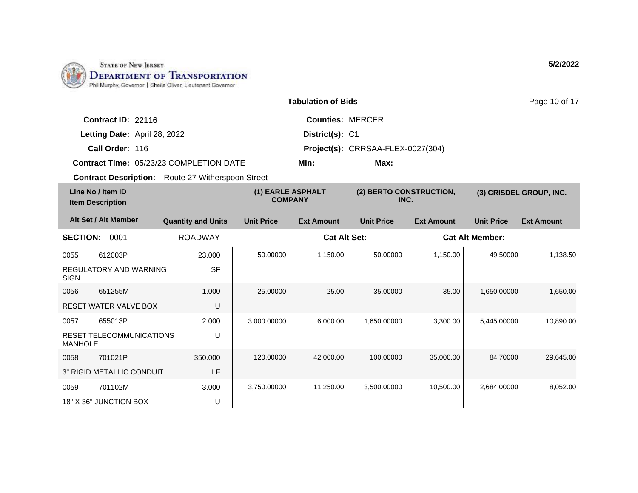

|                                                          |                           |                                     | <b>Tabulation of Bids</b> |                                   |                   |                        | Page 10 of 17           |
|----------------------------------------------------------|---------------------------|-------------------------------------|---------------------------|-----------------------------------|-------------------|------------------------|-------------------------|
| Contract ID: 22116                                       |                           |                                     | <b>Counties: MERCER</b>   |                                   |                   |                        |                         |
| Letting Date: April 28, 2022                             |                           |                                     | District(s): C1           |                                   |                   |                        |                         |
| Call Order: 116                                          |                           |                                     |                           | Project(s): CRRSAA-FLEX-0027(304) |                   |                        |                         |
| Contract Time: 05/23/23 COMPLETION DATE                  |                           |                                     | Min:                      | Max:                              |                   |                        |                         |
| <b>Contract Description:</b> Route 27 Witherspoon Street |                           |                                     |                           |                                   |                   |                        |                         |
| Line No / Item ID<br><b>Item Description</b>             |                           | (1) EARLE ASPHALT<br><b>COMPANY</b> |                           | (2) BERTO CONSTRUCTION,<br>INC.   |                   |                        | (3) CRISDEL GROUP, INC. |
| Alt Set / Alt Member                                     | <b>Quantity and Units</b> | <b>Unit Price</b>                   | <b>Ext Amount</b>         | <b>Unit Price</b>                 | <b>Ext Amount</b> | <b>Unit Price</b>      | <b>Ext Amount</b>       |
| <b>SECTION:</b><br>0001                                  | <b>ROADWAY</b>            |                                     | <b>Cat Alt Set:</b>       |                                   |                   | <b>Cat Alt Member:</b> |                         |
| 612003P<br>0055                                          | 23.000                    | 50.00000                            | 1,150.00                  | 50.00000                          | 1,150.00          | 49.50000               | 1.138.50                |
| REGULATORY AND WARNING<br><b>SIGN</b>                    | <b>SF</b>                 |                                     |                           |                                   |                   |                        |                         |
| 651255M<br>0056                                          | 1.000                     | 25.00000                            | 25.00                     | 35.00000                          | 35.00             | 1,650.00000            | 1,650.00                |
| RESET WATER VALVE BOX                                    | U                         |                                     |                           |                                   |                   |                        |                         |
| 0057<br>655013P                                          | 2.000                     | 3,000.00000                         | 6,000.00                  | 1,650.00000                       | 3,300.00          | 5,445.00000            | 10,890.00               |
| <b>RESET TELECOMMUNICATIONS</b><br><b>MANHOLE</b>        | U                         |                                     |                           |                                   |                   |                        |                         |
| 701021P<br>0058                                          | 350.000                   | 120.00000                           | 42,000.00                 | 100.00000                         | 35,000.00         | 84.70000               | 29,645.00               |
| 3" RIGID METALLIC CONDUIT                                | LF                        |                                     |                           |                                   |                   |                        |                         |
| 701102M<br>0059                                          | 3.000                     | 3,750.00000                         | 11,250.00                 | 3,500.00000                       | 10,500.00         | 2,684.00000            | 8,052.00                |
| 18" X 36" JUNCTION BOX                                   | U                         |                                     |                           |                                   |                   |                        |                         |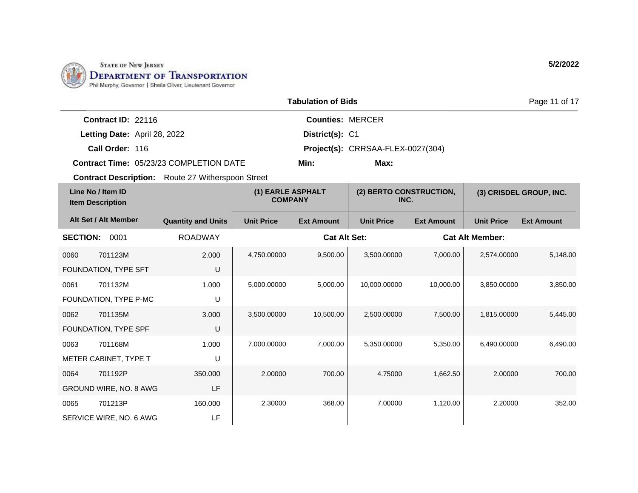

| <b>Tabulation of Bids</b>                                |                           |                                     |                                   |                                 |                   |                        | Page 11 of 17           |
|----------------------------------------------------------|---------------------------|-------------------------------------|-----------------------------------|---------------------------------|-------------------|------------------------|-------------------------|
| Contract ID: 22116                                       |                           |                                     | <b>Counties: MERCER</b>           |                                 |                   |                        |                         |
| Letting Date: April 28, 2022                             |                           |                                     | District(s): C1                   |                                 |                   |                        |                         |
| Call Order: 116                                          |                           |                                     | Project(s): CRRSAA-FLEX-0027(304) |                                 |                   |                        |                         |
| Contract Time: 05/23/23 COMPLETION DATE                  |                           |                                     | Min:                              | Max:                            |                   |                        |                         |
| <b>Contract Description:</b> Route 27 Witherspoon Street |                           |                                     |                                   |                                 |                   |                        |                         |
| Line No / Item ID<br><b>Item Description</b>             |                           | (1) EARLE ASPHALT<br><b>COMPANY</b> |                                   | (2) BERTO CONSTRUCTION,<br>INC. |                   |                        | (3) CRISDEL GROUP, INC. |
| Alt Set / Alt Member                                     | <b>Quantity and Units</b> | <b>Unit Price</b>                   | <b>Ext Amount</b>                 | <b>Unit Price</b>               | <b>Ext Amount</b> | <b>Unit Price</b>      | <b>Ext Amount</b>       |
| <b>SECTION:</b><br>0001                                  | <b>ROADWAY</b>            |                                     | <b>Cat Alt Set:</b>               |                                 |                   | <b>Cat Alt Member:</b> |                         |
| 701123M<br>0060                                          | 2.000                     | 4,750.00000                         | 9,500.00                          | 3,500.00000                     | 7,000.00          | 2,574.00000            | 5,148.00                |
| FOUNDATION, TYPE SFT                                     | U                         |                                     |                                   |                                 |                   |                        |                         |
| 0061<br>701132M                                          | 1.000                     | 5,000.00000                         | 5,000.00                          | 10,000.00000                    | 10,000.00         | 3,850.00000            | 3,850.00                |
| FOUNDATION, TYPE P-MC                                    | U                         |                                     |                                   |                                 |                   |                        |                         |
| 701135M<br>0062                                          | 3.000                     | 3,500.00000                         | 10,500.00                         | 2,500.00000                     | 7,500.00          | 1,815.00000            | 5,445.00                |
| FOUNDATION, TYPE SPF                                     | U                         |                                     |                                   |                                 |                   |                        |                         |
| 701168M<br>0063                                          | 1.000                     | 7,000.00000                         | 7,000.00                          | 5,350.00000                     | 5,350.00          | 6,490.00000            | 6,490.00                |
| METER CABINET, TYPE T                                    | U                         |                                     |                                   |                                 |                   |                        |                         |
| 701192P<br>0064                                          | 350,000                   | 2.00000                             | 700.00                            | 4.75000                         | 1,662.50          | 2.00000                | 700.00                  |
| GROUND WIRE, NO. 8 AWG                                   | LF                        |                                     |                                   |                                 |                   |                        |                         |
| 0065<br>701213P                                          | 160.000                   | 2.30000                             | 368.00                            | 7.00000                         | 1,120.00          | 2.20000                | 352.00                  |
| SERVICE WIRE, NO. 6 AWG                                  | LF                        |                                     |                                   |                                 |                   |                        |                         |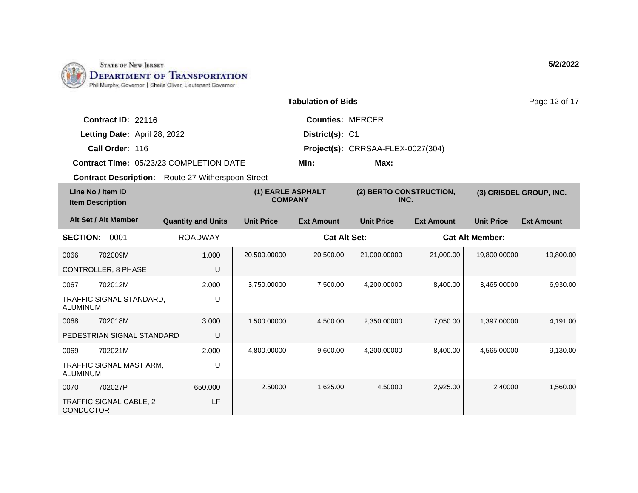

|                                                          | <b>Tabulation of Bids</b> |                                     |                         |                                   |                   |                        |                         |
|----------------------------------------------------------|---------------------------|-------------------------------------|-------------------------|-----------------------------------|-------------------|------------------------|-------------------------|
| Contract ID: 22116                                       |                           |                                     | <b>Counties: MERCER</b> |                                   |                   |                        |                         |
| Letting Date: April 28, 2022                             |                           |                                     | District(s): C1         |                                   |                   |                        |                         |
| Call Order: 116                                          |                           |                                     |                         | Project(s): CRRSAA-FLEX-0027(304) |                   |                        |                         |
| Contract Time: 05/23/23 COMPLETION DATE                  |                           |                                     | Min:                    |                                   |                   |                        |                         |
| <b>Contract Description:</b> Route 27 Witherspoon Street |                           |                                     |                         |                                   |                   |                        |                         |
| Line No / Item ID<br><b>Item Description</b>             |                           | (1) EARLE ASPHALT<br><b>COMPANY</b> |                         | (2) BERTO CONSTRUCTION,<br>INC.   |                   |                        | (3) CRISDEL GROUP, INC. |
| Alt Set / Alt Member                                     | <b>Quantity and Units</b> | <b>Unit Price</b>                   | <b>Ext Amount</b>       | <b>Unit Price</b>                 | <b>Ext Amount</b> | <b>Unit Price</b>      | <b>Ext Amount</b>       |
| <b>SECTION:</b><br>0001                                  | <b>ROADWAY</b>            |                                     | <b>Cat Alt Set:</b>     |                                   |                   | <b>Cat Alt Member:</b> |                         |
| 702009M<br>0066                                          | 1.000                     | 20,500.00000                        | 20,500.00               | 21,000.00000                      | 21,000.00         | 19,800.00000           | 19,800.00               |
| <b>CONTROLLER, 8 PHASE</b>                               | U                         |                                     |                         |                                   |                   |                        |                         |
| 702012M<br>0067                                          | 2.000                     | 3,750.00000                         | 7.500.00                | 4.200.00000                       | 8,400.00          | 3.465.00000            | 6.930.00                |
| TRAFFIC SIGNAL STANDARD,<br><b>ALUMINUM</b>              | U                         |                                     |                         |                                   |                   |                        |                         |
| 702018M<br>0068                                          | 3.000                     | 1,500.00000                         | 4,500.00                | 2,350.00000                       | 7,050.00          | 1,397.00000            | 4,191.00                |
| PEDESTRIAN SIGNAL STANDARD                               | U                         |                                     |                         |                                   |                   |                        |                         |
| 702021M<br>0069                                          | 2.000                     | 4,800.00000                         | 9,600.00                | 4,200.00000                       | 8,400.00          | 4,565.00000            | 9,130.00                |
| TRAFFIC SIGNAL MAST ARM,<br><b>ALUMINUM</b>              | U                         |                                     |                         |                                   |                   |                        |                         |
| 0070<br>702027P                                          | 650,000                   | 2.50000                             | 1,625.00                | 4.50000                           | 2,925.00          | 2.40000                | 1,560.00                |
| TRAFFIC SIGNAL CABLE, 2<br><b>CONDUCTOR</b>              | LF                        |                                     |                         |                                   |                   |                        |                         |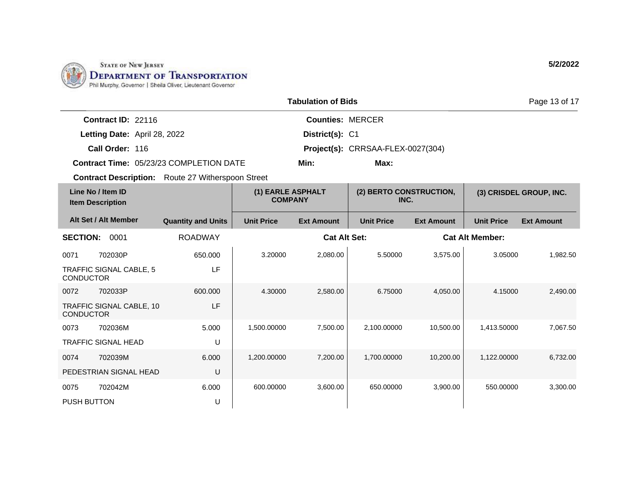

|                                              |                              |                                                          |                                     | <b>Tabulation of Bids</b> |                                   |                   |                        | Page 13 of 17           |
|----------------------------------------------|------------------------------|----------------------------------------------------------|-------------------------------------|---------------------------|-----------------------------------|-------------------|------------------------|-------------------------|
|                                              | Contract ID: 22116           |                                                          |                                     | <b>Counties: MERCER</b>   |                                   |                   |                        |                         |
|                                              | Letting Date: April 28, 2022 |                                                          |                                     | District(s): C1           |                                   |                   |                        |                         |
|                                              | Call Order: 116              |                                                          |                                     |                           | Project(s): CRRSAA-FLEX-0027(304) |                   |                        |                         |
|                                              |                              | <b>Contract Time: 05/23/23 COMPLETION DATE</b>           |                                     | Min:                      | Max:                              |                   |                        |                         |
|                                              |                              | <b>Contract Description:</b> Route 27 Witherspoon Street |                                     |                           |                                   |                   |                        |                         |
| Line No / Item ID<br><b>Item Description</b> |                              |                                                          | (1) EARLE ASPHALT<br><b>COMPANY</b> |                           | (2) BERTO CONSTRUCTION,<br>INC.   |                   |                        | (3) CRISDEL GROUP, INC. |
|                                              | Alt Set / Alt Member         | <b>Quantity and Units</b>                                | <b>Unit Price</b>                   | <b>Ext Amount</b>         | <b>Unit Price</b>                 | <b>Ext Amount</b> | <b>Unit Price</b>      | <b>Ext Amount</b>       |
| <b>SECTION:</b>                              | 0001                         | <b>ROADWAY</b>                                           |                                     | <b>Cat Alt Set:</b>       |                                   |                   | <b>Cat Alt Member:</b> |                         |
| 0071                                         | 702030P                      | 650.000                                                  | 3.20000                             | 2,080.00                  | 5.50000                           | 3,575.00          | 3.05000                | 1.982.50                |
| <b>CONDUCTOR</b>                             | TRAFFIC SIGNAL CABLE, 5      | LF                                                       |                                     |                           |                                   |                   |                        |                         |
| 0072                                         | 702033P                      | 600.000                                                  | 4.30000                             | 2,580.00                  | 6.75000                           | 4,050.00          | 4.15000                | 2,490.00                |
| <b>CONDUCTOR</b>                             | TRAFFIC SIGNAL CABLE, 10     | LF                                                       |                                     |                           |                                   |                   |                        |                         |
| 0073                                         | 702036M                      | 5.000                                                    | 1,500.00000                         | 7,500.00                  | 2,100.00000                       | 10,500.00         | 1,413.50000            | 7,067.50                |
|                                              | <b>TRAFFIC SIGNAL HEAD</b>   | U                                                        |                                     |                           |                                   |                   |                        |                         |
| 0074                                         | 702039M                      | 6.000                                                    | 1,200.00000                         | 7,200.00                  | 1,700.00000                       | 10,200.00         | 1,122.00000            | 6,732.00                |
|                                              | PEDESTRIAN SIGNAL HEAD       | U                                                        |                                     |                           |                                   |                   |                        |                         |
| 0075                                         | 702042M                      | 6.000                                                    | 600.00000                           | 3,600.00                  | 650.00000                         | 3,900.00          | 550.00000              | 3,300.00                |
| <b>PUSH BUTTON</b>                           |                              | U                                                        |                                     |                           |                                   |                   |                        |                         |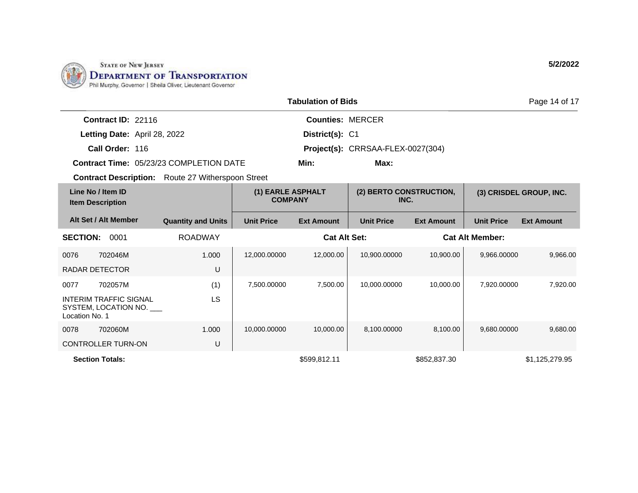

|                                                                         |                           |                                     | <b>Tabulation of Bids</b> |                                   |                   |                        | Page 14 of 17           |
|-------------------------------------------------------------------------|---------------------------|-------------------------------------|---------------------------|-----------------------------------|-------------------|------------------------|-------------------------|
| Contract ID: 22116                                                      |                           |                                     | <b>Counties: MERCER</b>   |                                   |                   |                        |                         |
| Letting Date: April 28, 2022                                            |                           |                                     | District(s): C1           |                                   |                   |                        |                         |
| Call Order: 116                                                         |                           |                                     |                           | Project(s): CRRSAA-FLEX-0027(304) |                   |                        |                         |
| <b>Contract Time: 05/23/23 COMPLETION DATE</b>                          |                           |                                     | Min:                      | Max:                              |                   |                        |                         |
| <b>Contract Description:</b> Route 27 Witherspoon Street                |                           |                                     |                           |                                   |                   |                        |                         |
| Line No / Item ID<br><b>Item Description</b>                            |                           | (1) EARLE ASPHALT<br><b>COMPANY</b> |                           | (2) BERTO CONSTRUCTION,<br>INC.   |                   |                        | (3) CRISDEL GROUP, INC. |
| Alt Set / Alt Member                                                    | <b>Quantity and Units</b> | <b>Unit Price</b>                   | <b>Ext Amount</b>         | <b>Unit Price</b>                 | <b>Ext Amount</b> | <b>Unit Price</b>      | <b>Ext Amount</b>       |
| <b>SECTION:</b><br>0001                                                 | <b>ROADWAY</b>            |                                     | <b>Cat Alt Set:</b>       |                                   |                   | <b>Cat Alt Member:</b> |                         |
| 0076<br>702046M                                                         | 1.000                     | 12,000.00000                        | 12,000.00                 | 10,900.00000                      | 10,900.00         | 9,966.00000            | 9,966.00                |
| <b>RADAR DETECTOR</b>                                                   | U                         |                                     |                           |                                   |                   |                        |                         |
| 702057M<br>0077                                                         | (1)                       | 7,500.00000                         | 7,500.00                  | 10,000.00000                      | 10,000.00         | 7,920.00000            | 7,920.00                |
| <b>INTERIM TRAFFIC SIGNAL</b><br>SYSTEM, LOCATION NO.<br>Location No. 1 | <b>LS</b>                 |                                     |                           |                                   |                   |                        |                         |
| 0078<br>702060M                                                         | 1.000                     | 10,000.00000                        | 10,000.00                 | 8,100.00000                       | 8,100.00          | 9.680.00000            | 9,680.00                |
| <b>CONTROLLER TURN-ON</b>                                               | U                         |                                     |                           |                                   |                   |                        |                         |
| <b>Section Totals:</b>                                                  |                           |                                     | \$599.812.11              |                                   | \$852,837,30      |                        | \$1,125,279.95          |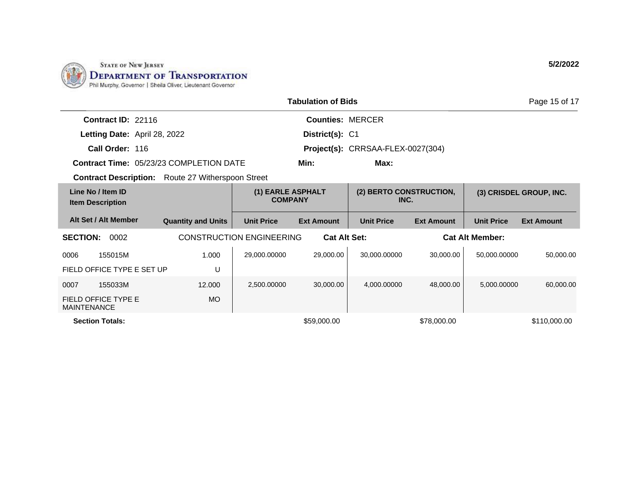

|                                                          |                           |                                     | <b>Tabulation of Bids</b> |                                   |                   |                        | Page 15 of 17           |
|----------------------------------------------------------|---------------------------|-------------------------------------|---------------------------|-----------------------------------|-------------------|------------------------|-------------------------|
| Contract ID: 22116                                       |                           |                                     | <b>Counties: MERCER</b>   |                                   |                   |                        |                         |
| Letting Date: April 28, 2022                             |                           |                                     | District(s): C1           |                                   |                   |                        |                         |
| Call Order: 116                                          |                           |                                     |                           | Project(s): CRRSAA-FLEX-0027(304) |                   |                        |                         |
| Contract Time: 05/23/23 COMPLETION DATE                  |                           |                                     | Min:                      | Max:                              |                   |                        |                         |
| <b>Contract Description:</b> Route 27 Witherspoon Street |                           |                                     |                           |                                   |                   |                        |                         |
| Line No / Item ID<br><b>Item Description</b>             |                           | (1) EARLE ASPHALT<br><b>COMPANY</b> |                           | (2) BERTO CONSTRUCTION,<br>INC.   |                   |                        | (3) CRISDEL GROUP, INC. |
| Alt Set / Alt Member                                     | <b>Quantity and Units</b> | <b>Unit Price</b>                   | <b>Ext Amount</b>         | <b>Unit Price</b>                 | <b>Ext Amount</b> | <b>Unit Price</b>      | <b>Ext Amount</b>       |
| <b>SECTION:</b><br>0002                                  |                           | <b>CONSTRUCTION ENGINEERING</b>     | <b>Cat Alt Set:</b>       |                                   |                   | <b>Cat Alt Member:</b> |                         |
| 0006<br>155015M                                          | 1.000                     | 29,000.00000                        | 29,000.00                 | 30,000.00000                      | 30.000.00         | 50,000.00000           | 50,000.00               |
| FIELD OFFICE TYPE E SET UP                               | U                         |                                     |                           |                                   |                   |                        |                         |
| 0007<br>155033M                                          | 12.000                    | 2,500.00000                         | 30,000.00                 | 4,000.00000                       | 48,000.00         | 5,000.00000            | 60,000.00               |
| FIELD OFFICE TYPE E<br><b>MAINTENANCE</b>                | <b>MO</b>                 |                                     |                           |                                   |                   |                        |                         |
| <b>Section Totals:</b>                                   |                           |                                     | \$59,000.00               |                                   | \$78,000.00       |                        | \$110,000.00            |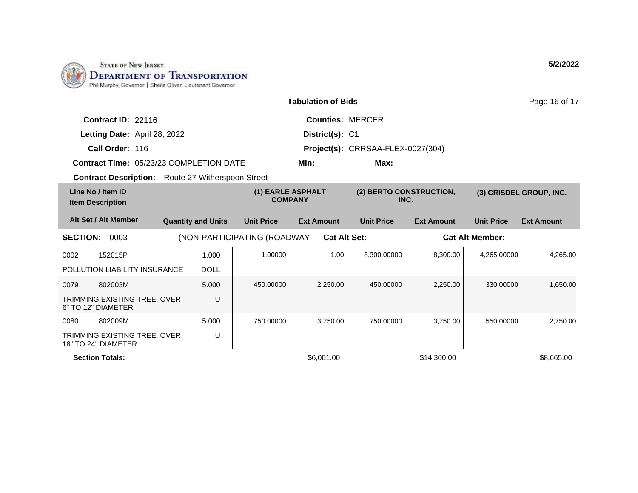

|                                                           |                           |                                     | <b>Tabulation of Bids</b> |                                   |                   |                        | Page 16 of 17           |
|-----------------------------------------------------------|---------------------------|-------------------------------------|---------------------------|-----------------------------------|-------------------|------------------------|-------------------------|
| Contract ID: 22116                                        |                           |                                     | <b>Counties: MERCER</b>   |                                   |                   |                        |                         |
| Letting Date: April 28, 2022                              |                           |                                     | District(s): C1           |                                   |                   |                        |                         |
| Call Order: 116                                           |                           |                                     |                           | Project(s): CRRSAA-FLEX-0027(304) |                   |                        |                         |
| <b>Contract Time: 05/23/23 COMPLETION DATE</b>            |                           |                                     | Min:                      | Max:                              |                   |                        |                         |
| <b>Contract Description:</b> Route 27 Witherspoon Street  |                           |                                     |                           |                                   |                   |                        |                         |
| Line No / Item ID<br><b>Item Description</b>              |                           | (1) EARLE ASPHALT<br><b>COMPANY</b> |                           | (2) BERTO CONSTRUCTION,<br>INC.   |                   |                        | (3) CRISDEL GROUP, INC. |
| Alt Set / Alt Member                                      | <b>Quantity and Units</b> | <b>Unit Price</b>                   | <b>Ext Amount</b>         | <b>Unit Price</b>                 | <b>Ext Amount</b> | <b>Unit Price</b>      | <b>Ext Amount</b>       |
| <b>SECTION:</b><br>0003                                   |                           | (NON-PARTICIPATING (ROADWAY         | <b>Cat Alt Set:</b>       |                                   |                   | <b>Cat Alt Member:</b> |                         |
| 0002<br>152015P                                           | 1.000                     | 1.00000                             | 1.00                      | 8,300.00000                       | 8,300.00          | 4.265.00000            | 4,265.00                |
| POLLUTION LIABILITY INSURANCE                             | <b>DOLL</b>               |                                     |                           |                                   |                   |                        |                         |
| 0079<br>802003M                                           | 5.000                     | 450.00000                           | 2,250.00                  | 450.00000                         | 2,250.00          | 330.00000              | 1,650.00                |
| <b>TRIMMING EXISTING TREE, OVER</b><br>6" TO 12" DIAMETER | U                         |                                     |                           |                                   |                   |                        |                         |
| 802009M<br>0080                                           | 5.000                     | 750.00000                           | 3,750.00                  | 750.00000                         | 3,750.00          | 550.00000              | 2,750.00                |
| TRIMMING EXISTING TREE, OVER<br>18" TO 24" DIAMETER       | U                         |                                     |                           |                                   |                   |                        |                         |
| <b>Section Totals:</b>                                    |                           |                                     | \$6,001.00                |                                   | \$14,300.00       |                        | \$8,665.00              |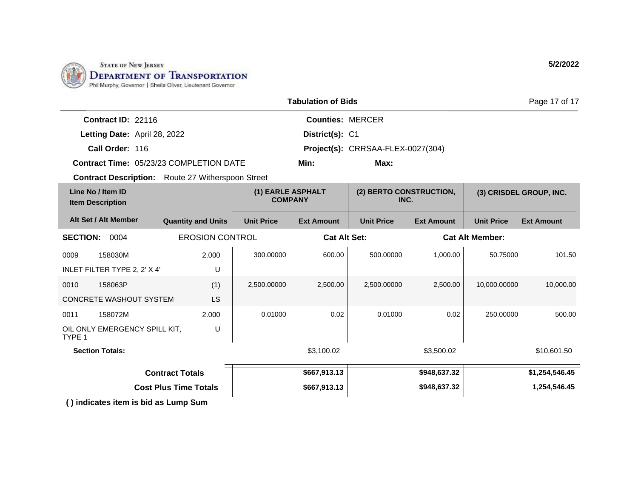

| <b>Tabulation of Bids</b>                                |                           |                                     |                         |                                   |                        | Page 17 of 17     |                         |
|----------------------------------------------------------|---------------------------|-------------------------------------|-------------------------|-----------------------------------|------------------------|-------------------|-------------------------|
| Contract ID: 22116                                       |                           |                                     | <b>Counties: MERCER</b> |                                   |                        |                   |                         |
| Letting Date: April 28, 2022                             |                           |                                     | District(s): C1         |                                   |                        |                   |                         |
| Call Order: 116                                          |                           |                                     |                         | Project(s): CRRSAA-FLEX-0027(304) |                        |                   |                         |
| Contract Time: 05/23/23 COMPLETION DATE                  |                           |                                     | Min:                    | Max:                              |                        |                   |                         |
| <b>Contract Description:</b> Route 27 Witherspoon Street |                           |                                     |                         |                                   |                        |                   |                         |
| Line No / Item ID<br><b>Item Description</b>             |                           | (1) EARLE ASPHALT<br><b>COMPANY</b> |                         | (2) BERTO CONSTRUCTION,<br>INC.   |                        |                   | (3) CRISDEL GROUP, INC. |
| Alt Set / Alt Member                                     | <b>Quantity and Units</b> | <b>Unit Price</b>                   | <b>Ext Amount</b>       | <b>Unit Price</b>                 | <b>Ext Amount</b>      | <b>Unit Price</b> | <b>Ext Amount</b>       |
| <b>EROSION CONTROL</b><br><b>SECTION: 0004</b>           |                           | <b>Cat Alt Set:</b>                 |                         |                                   | <b>Cat Alt Member:</b> |                   |                         |
| 0009<br>158030M                                          | 2.000                     | 300.00000                           | 600.00                  | 500.00000                         | 1,000.00               | 50.75000          | 101.50                  |
| INLET FILTER TYPE 2, 2' X 4'                             | U                         |                                     |                         |                                   |                        |                   |                         |
| 0010<br>158063P                                          | (1)                       | 2,500.00000                         | 2,500.00                | 2,500.00000                       | 2,500.00               | 10,000.00000      | 10,000.00               |
| <b>CONCRETE WASHOUT SYSTEM</b>                           | <b>LS</b>                 |                                     |                         |                                   |                        |                   |                         |
| 0011<br>158072M                                          | 2.000                     | 0.01000                             | 0.02                    | 0.01000                           | 0.02                   | 250.00000         | 500.00                  |
| OIL ONLY EMERGENCY SPILL KIT,<br>TYPE 1                  | U                         |                                     |                         |                                   |                        |                   |                         |
| <b>Section Totals:</b>                                   |                           |                                     | \$3,100.02              |                                   | \$3,500.02             |                   | \$10,601.50             |
| <b>Contract Totals</b>                                   |                           |                                     | \$667,913.13            |                                   | \$948,637.32           |                   | \$1,254,546.45          |
| <b>Cost Plus Time Totals</b>                             |                           |                                     | \$667,913.13            |                                   | \$948,637.32           |                   | 1,254,546.45            |
| () indicates item is bid as Lump Sum                     |                           |                                     |                         |                                   |                        |                   |                         |